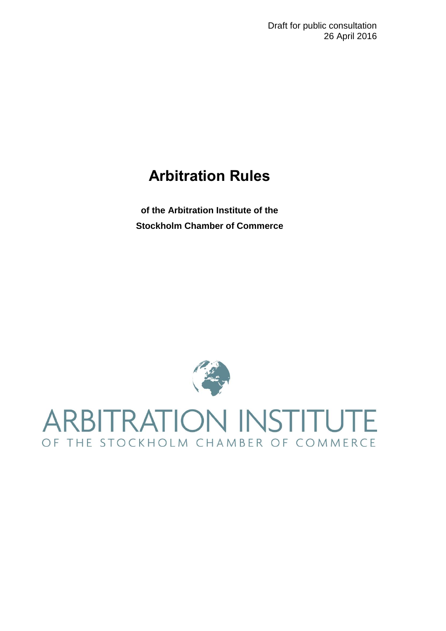## **Arbitration Rules**

**of the Arbitration Institute of the Stockholm Chamber of Commerce**



# **ARBITRATION INSTITUTE** OF THE STOCKHOLM CHAMBER OF COMMERCE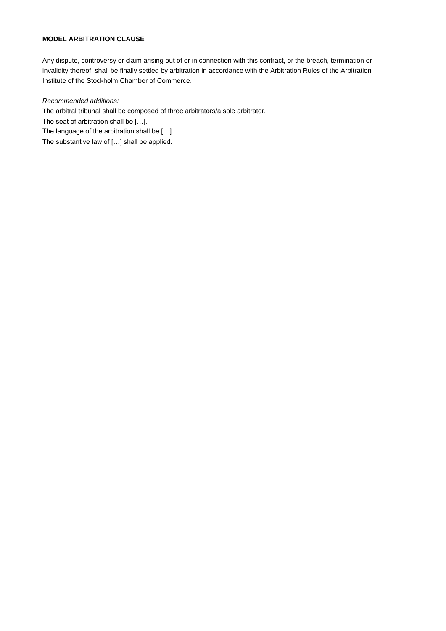Any dispute, controversy or claim arising out of or in connection with this contract, or the breach, termination or invalidity thereof, shall be finally settled by arbitration in accordance with the Arbitration Rules of the Arbitration Institute of the Stockholm Chamber of Commerce.

#### *Recommended additions:*

The arbitral tribunal shall be composed of three arbitrators/a sole arbitrator.

The seat of arbitration shall be […].

The language of the arbitration shall be […].

The substantive law of […] shall be applied.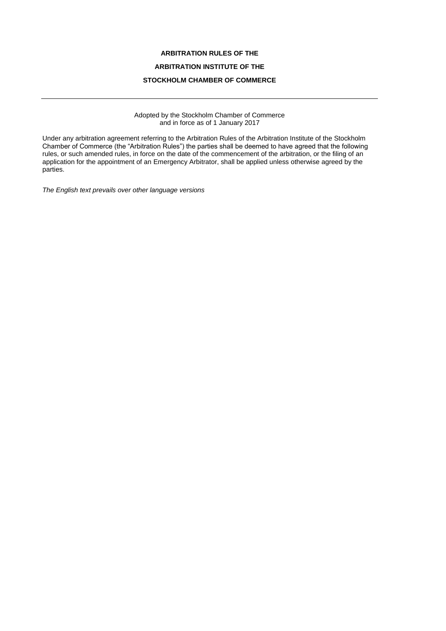#### **ARBITRATION RULES OF THE**

#### **ARBITRATION INSTITUTE OF THE**

#### **STOCKHOLM CHAMBER OF COMMERCE**

Adopted by the Stockholm Chamber of Commerce and in force as of 1 January 2017

Under any arbitration agreement referring to the Arbitration Rules of the Arbitration Institute of the Stockholm Chamber of Commerce (the "Arbitration Rules") the parties shall be deemed to have agreed that the following rules, or such amended rules, in force on the date of the commencement of the arbitration, or the filing of an application for the appointment of an Emergency Arbitrator, shall be applied unless otherwise agreed by the parties.

*The English text prevails over other language versions*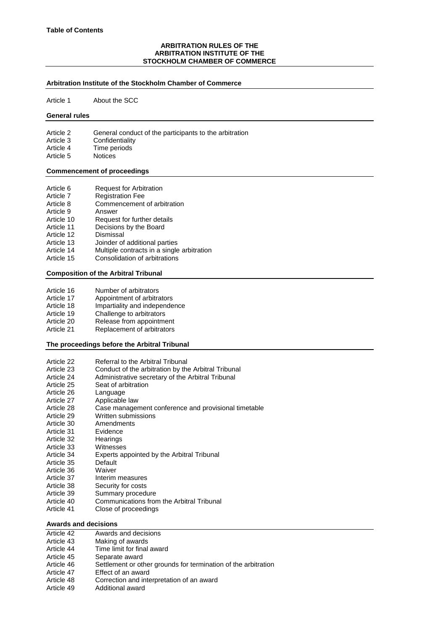#### **ARBITRATION RULES OF THE ARBITRATION INSTITUTE OF THE STOCKHOLM CHAMBER OF COMMERCE**

#### **Arbitration Institute of the Stockholm Chamber of Commerce**

Article 1 About the SCC

#### **General rules**

- Article 2 General conduct of the participants to the arbitration Article 3 Confidentiality
- Article 4 Time periods
- Article 5 Notices

#### **Commencement of proceedings**

| Article 6  | <b>Request for Arbitration</b>     |
|------------|------------------------------------|
| Article 7  | <b>Registration Fee</b>            |
| Article 8  | Commencement of arbitration        |
| Article 9  | Answer                             |
| Article 10 | Request for further details        |
| Article 11 | Decisions by the Board             |
| Article 12 | Dismissal                          |
| Article 13 | Joinder of additional parties      |
| Artiola 1A | Multiple contracts in a single art |

- Article 14 Multiple contracts in a single arbitration
- Article 15 Consolidation of arbitrations

#### **Composition of the Arbitral Tribunal**

- Article 16 Number of arbitrators
- Article 17 Appointment of arbitrators
- Article 18 Impartiality and independence
- Article 19 Challenge to arbitrators
- Article 20 Release from appointment
- Article 21 Replacement of arbitrators

#### **The proceedings before the Arbitral Tribunal**

Article 22 Referral to the Arbitral Tribunal Article 23 Conduct of the arbitration by the Arbitral Tribunal Article 24 Administrative secretary of the Arbitral Tribunal Article 25 Seat of arbitration Article 26 Language Article 27 Applicable law<br>Article 28 Case manager Case management conference and provisional timetable Article 29 Written submissions Article 30 Amendments Article 31 Evidence Article 32 Hearings Article 33 Witnesses<br>Article 34 Experts ap Experts appointed by the Arbitral Tribunal Article 35 Default Article 36 Waiver Article 37 Interim measures Article 38 Security for costs Article 39 Summary procedure Article 40 Communications from the Arbitral Tribunal Article 41 Close of proceedings

#### **Awards and decisions**

| Article 42 | Awards and decisions |
|------------|----------------------|
|            |                      |

- Article 43 Making of awards Article 44 Time limit for final award
- Article 45 Separate award
- Article 46 Settlement or other grounds for termination of the arbitration
- Article 47 Effect of an award
- Article 48 Correction and interpretation of an award<br>Article 49 Additional award
- Additional award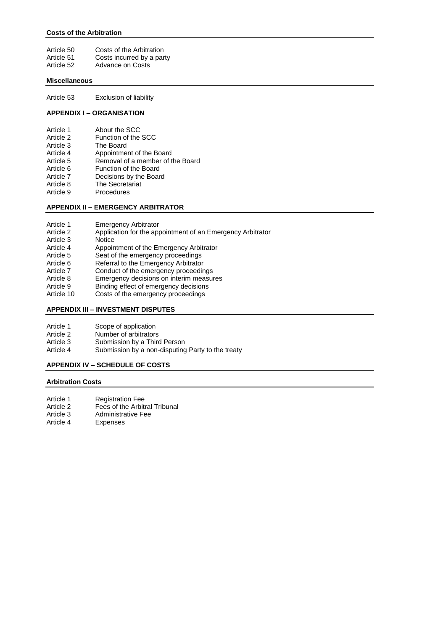#### **Costs of the Arbitration**

| Article 50 | Costs of the Arbitration  |
|------------|---------------------------|
| Article 51 | Costs incurred by a party |
| Article 52 | Advance on Costs          |

#### **Miscellaneous**

Article 53 Exclusion of liability

#### **APPENDIX I – ORGANISATION**

| Article 1<br>Article 2<br>Article 3<br>Article 4<br>Article 5<br>Article 6<br>Article 7<br>Article 8 | About the SCC<br>Function of the SCC<br>The Board<br>Appointment of the Board<br>Removal of a member of the Board<br>Function of the Board<br>Decisions by the Board<br>The Secretariat |
|------------------------------------------------------------------------------------------------------|-----------------------------------------------------------------------------------------------------------------------------------------------------------------------------------------|
| Article 9                                                                                            | Procedures                                                                                                                                                                              |
|                                                                                                      |                                                                                                                                                                                         |

#### **APPENDIX II – EMERGENCY ARBITRATOR**

- Article 1 Emergency Arbitrator<br>Article 2 Application for the application
- Application for the appointment of an Emergency Arbitrator
- Article 3 Notice
- Article 4 Appointment of the Emergency Arbitrator
- Article 5 Seat of the emergency proceedings<br>Article 6 Referral to the Emergency Arbitrator
- Referral to the Emergency Arbitrator
- Article 7 Conduct of the emergency proceedings<br>Article 8 Emergency decisions on interim measure
- Article 8 Emergency decisions on interim measures<br>Article 9 Binding effect of emergency decisions
- Binding effect of emergency decisions
- Article 10 Costs of the emergency proceedings

#### **APPENDIX III – INVESTMENT DISPUTES**

- Article 1 Scope of application
- Article 2 Number of arbitrators<br>Article 3 Submission by a Thire
- Article 3 Submission by a Third Person<br>Article 4 Submission by a non-disputing
- Submission by a non-disputing Party to the treaty

#### **APPENDIX IV – SCHEDULE OF COSTS**

#### **Arbitration Costs**

- Article 1 Registration Fee<br>Article 2 Fees of the Arbiti
- Article 2 Fees of the Arbitral Tribunal<br>Article 3 Administrative Fee
- Article 3 Administrative Fee<br>Article 4 Expenses
- Expenses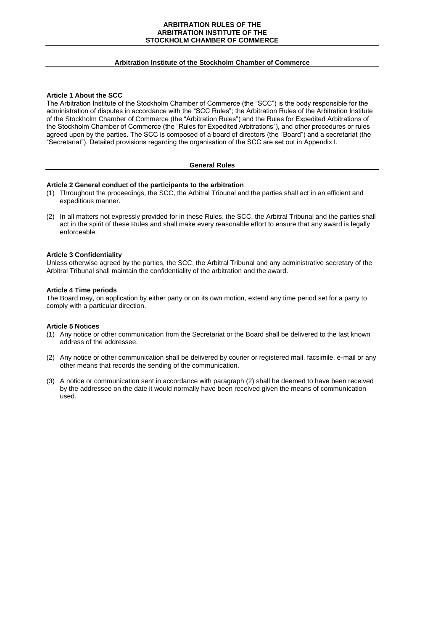#### **ARBITRATION RULES OF THE ARBITRATION INSTITUTE OF THE STOCKHOLM CHAMBER OF COMMERCE**

#### **Arbitration Institute of the Stockholm Chamber of Commerce**

#### **Article 1 About the SCC**

The Arbitration Institute of the Stockholm Chamber of Commerce (the "SCC") is the body responsible for the administration of disputes in accordance with the "SCC Rules"; the Arbitration Rules of the Arbitration Institute of the Stockholm Chamber of Commerce (the "Arbitration Rules") and the Rules for Expedited Arbitrations of the Stockholm Chamber of Commerce (the "Rules for Expedited Arbitrations"), and other procedures or rules agreed upon by the parties. The SCC is composed of a board of directors (the "Board") and a secretariat (the "Secretariat"). Detailed provisions regarding the organisation of the SCC are set out in Appendix I.

#### **General Rules**

#### **Article 2 General conduct of the participants to the arbitration**

- (1) Throughout the proceedings, the SCC, the Arbitral Tribunal and the parties shall act in an efficient and expeditious manner.
- (2) In all matters not expressly provided for in these Rules, the SCC, the Arbitral Tribunal and the parties shall act in the spirit of these Rules and shall make every reasonable effort to ensure that any award is legally enforceable.

#### **Article 3 Confidentiality**

Unless otherwise agreed by the parties, the SCC, the Arbitral Tribunal and any administrative secretary of the Arbitral Tribunal shall maintain the confidentiality of the arbitration and the award.

#### **Article 4 Time periods**

The Board may, on application by either party or on its own motion, extend any time period set for a party to comply with a particular direction.

#### **Article 5 Notices**

- (1) Any notice or other communication from the Secretariat or the Board shall be delivered to the last known address of the addressee.
- (2) Any notice or other communication shall be delivered by courier or registered mail, facsimile, e-mail or any other means that records the sending of the communication.
- (3) A notice or communication sent in accordance with paragraph (2) shall be deemed to have been received by the addressee on the date it would normally have been received given the means of communication used.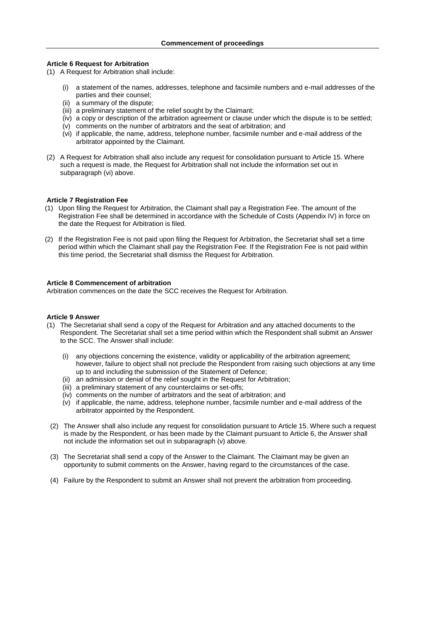#### **Article 6 Request for Arbitration**

- (1) A Request for Arbitration shall include:
	- (i) a statement of the names, addresses, telephone and facsimile numbers and e-mail addresses of the parties and their counsel;
	- (ii) a summary of the dispute;
	- (iii) a preliminary statement of the relief sought by the Claimant;
	- (iv) a copy or description of the arbitration agreement or clause under which the dispute is to be settled;
	- (v) comments on the number of arbitrators and the seat of arbitration; and
	- (vi) if applicable, the name, address, telephone number, facsimile number and e-mail address of the arbitrator appointed by the Claimant.
- (2) A Request for Arbitration shall also include any request for consolidation pursuant to Article 15. Where such a request is made, the Request for Arbitration shall not include the information set out in subparagraph (vi) above.

#### **Article 7 Registration Fee**

- (1) Upon filing the Request for Arbitration, the Claimant shall pay a Registration Fee. The amount of the Registration Fee shall be determined in accordance with the Schedule of Costs (Appendix IV) in force on the date the Request for Arbitration is filed.
- (2) If the Registration Fee is not paid upon filing the Request for Arbitration, the Secretariat shall set a time period within which the Claimant shall pay the Registration Fee. If the Registration Fee is not paid within this time period, the Secretariat shall dismiss the Request for Arbitration.

#### **Article 8 Commencement of arbitration**

Arbitration commences on the date the SCC receives the Request for Arbitration.

#### **Article 9 Answer**

- (1) The Secretariat shall send a copy of the Request for Arbitration and any attached documents to the Respondent. The Secretariat shall set a time period within which the Respondent shall submit an Answer to the SCC. The Answer shall include:
	- (i) any objections concerning the existence, validity or applicability of the arbitration agreement; however, failure to object shall not preclude the Respondent from raising such objections at any time up to and including the submission of the Statement of Defence;
	- (ii) an admission or denial of the relief sought in the Request for Arbitration;
	- (iii) a preliminary statement of any counterclaims or set-offs;
	- (iv) comments on the number of arbitrators and the seat of arbitration; and
	- (v) if applicable, the name, address, telephone number, facsimile number and e-mail address of the arbitrator appointed by the Respondent.
- (2) The Answer shall also include any request for consolidation pursuant to Article 15. Where such a request is made by the Respondent, or has been made by the Claimant pursuant to Article 6, the Answer shall not include the information set out in subparagraph (v) above.
- (3) The Secretariat shall send a copy of the Answer to the Claimant. The Claimant may be given an opportunity to submit comments on the Answer, having regard to the circumstances of the case.
- (4) Failure by the Respondent to submit an Answer shall not prevent the arbitration from proceeding.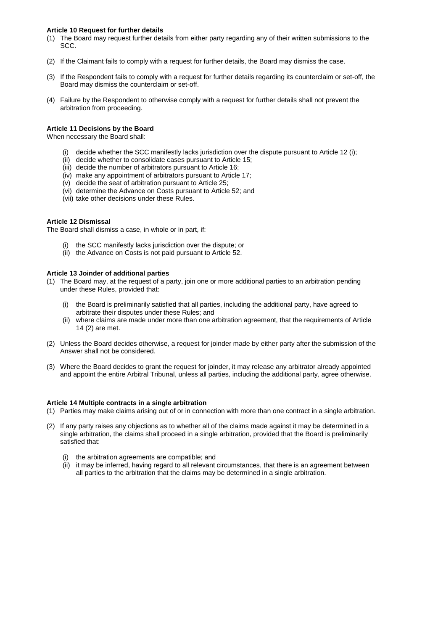#### **Article 10 Request for further details**

- (1) The Board may request further details from either party regarding any of their written submissions to the SCC.
- (2) If the Claimant fails to comply with a request for further details, the Board may dismiss the case.
- (3) If the Respondent fails to comply with a request for further details regarding its counterclaim or set-off, the Board may dismiss the counterclaim or set-off.
- (4) Failure by the Respondent to otherwise comply with a request for further details shall not prevent the arbitration from proceeding.

#### **Article 11 Decisions by the Board**

When necessary the Board shall:

- (i) decide whether the SCC manifestly lacks jurisdiction over the dispute pursuant to Article 12 (i);
- (ii) decide whether to consolidate cases pursuant to Article 15;
- (iii) decide the number of arbitrators pursuant to Article 16;
- (iv) make any appointment of arbitrators pursuant to Article 17;
- (v) decide the seat of arbitration pursuant to Article 25;
- (vi) determine the Advance on Costs pursuant to Article 52; and
- (vii) take other decisions under these Rules.

#### **Article 12 Dismissal**

The Board shall dismiss a case, in whole or in part, if:

- (i) the SCC manifestly lacks jurisdiction over the dispute; or
- (ii) the Advance on Costs is not paid pursuant to Article 52.

#### **Article 13 Joinder of additional parties**

- (1) The Board may, at the request of a party, join one or more additional parties to an arbitration pending under these Rules, provided that:
	- (i) the Board is preliminarily satisfied that all parties, including the additional party, have agreed to arbitrate their disputes under these Rules; and
	- (ii) where claims are made under more than one arbitration agreement, that the requirements of Article 14 (2) are met.
- (2) Unless the Board decides otherwise, a request for joinder made by either party after the submission of the Answer shall not be considered.
- (3) Where the Board decides to grant the request for joinder, it may release any arbitrator already appointed and appoint the entire Arbitral Tribunal, unless all parties, including the additional party, agree otherwise.

#### **Article 14 Multiple contracts in a single arbitration**

- (1) Parties may make claims arising out of or in connection with more than one contract in a single arbitration.
- (2) If any party raises any objections as to whether all of the claims made against it may be determined in a single arbitration, the claims shall proceed in a single arbitration, provided that the Board is preliminarily satisfied that:
	- (i) the arbitration agreements are compatible; and
	- (ii) it may be inferred, having regard to all relevant circumstances, that there is an agreement between all parties to the arbitration that the claims may be determined in a single arbitration.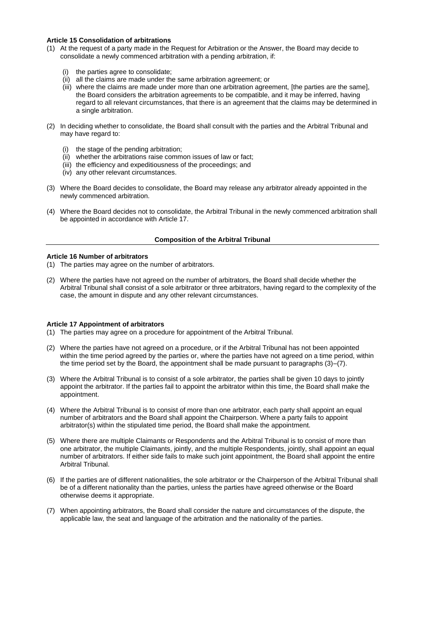#### **Article 15 Consolidation of arbitrations**

- (1) At the request of a party made in the Request for Arbitration or the Answer, the Board may decide to consolidate a newly commenced arbitration with a pending arbitration, if:
	- (i) the parties agree to consolidate;
	- (ii) all the claims are made under the same arbitration agreement; or
	- (iii) where the claims are made under more than one arbitration agreement, [the parties are the same], the Board considers the arbitration agreements to be compatible, and it may be inferred, having regard to all relevant circumstances, that there is an agreement that the claims may be determined in a single arbitration.
- (2) In deciding whether to consolidate, the Board shall consult with the parties and the Arbitral Tribunal and may have regard to:
	- (i) the stage of the pending arbitration;
	- (ii) whether the arbitrations raise common issues of law or fact;
	- (iii) the efficiency and expeditiousness of the proceedings; and
	- (iv) any other relevant circumstances.
- (3) Where the Board decides to consolidate, the Board may release any arbitrator already appointed in the newly commenced arbitration.
- (4) Where the Board decides not to consolidate, the Arbitral Tribunal in the newly commenced arbitration shall be appointed in accordance with Article 17.

#### **Composition of the Arbitral Tribunal**

#### **Article 16 Number of arbitrators**

- (1) The parties may agree on the number of arbitrators.
- (2) Where the parties have not agreed on the number of arbitrators, the Board shall decide whether the Arbitral Tribunal shall consist of a sole arbitrator or three arbitrators, having regard to the complexity of the case, the amount in dispute and any other relevant circumstances.

#### **Article 17 Appointment of arbitrators**

- (1) The parties may agree on a procedure for appointment of the Arbitral Tribunal.
- (2) Where the parties have not agreed on a procedure, or if the Arbitral Tribunal has not been appointed within the time period agreed by the parties or, where the parties have not agreed on a time period, within the time period set by the Board, the appointment shall be made pursuant to paragraphs (3)–(7).
- (3) Where the Arbitral Tribunal is to consist of a sole arbitrator, the parties shall be given 10 days to jointly appoint the arbitrator. If the parties fail to appoint the arbitrator within this time, the Board shall make the appointment.
- (4) Where the Arbitral Tribunal is to consist of more than one arbitrator, each party shall appoint an equal number of arbitrators and the Board shall appoint the Chairperson. Where a party fails to appoint arbitrator(s) within the stipulated time period, the Board shall make the appointment.
- (5) Where there are multiple Claimants or Respondents and the Arbitral Tribunal is to consist of more than one arbitrator, the multiple Claimants, jointly, and the multiple Respondents, jointly, shall appoint an equal number of arbitrators. If either side fails to make such joint appointment, the Board shall appoint the entire Arbitral Tribunal.
- (6) If the parties are of different nationalities, the sole arbitrator or the Chairperson of the Arbitral Tribunal shall be of a different nationality than the parties, unless the parties have agreed otherwise or the Board otherwise deems it appropriate.
- (7) When appointing arbitrators, the Board shall consider the nature and circumstances of the dispute, the applicable law, the seat and language of the arbitration and the nationality of the parties.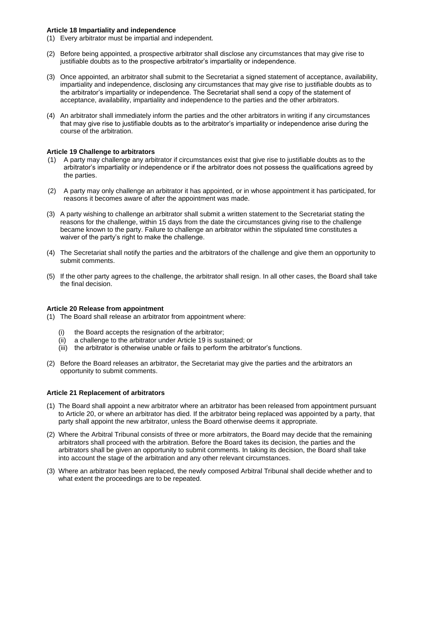#### **Article 18 Impartiality and independence**

- (1) Every arbitrator must be impartial and independent.
- (2) Before being appointed, a prospective arbitrator shall disclose any circumstances that may give rise to justifiable doubts as to the prospective arbitrator's impartiality or independence.
- (3) Once appointed, an arbitrator shall submit to the Secretariat a signed statement of acceptance, availability, impartiality and independence, disclosing any circumstances that may give rise to justifiable doubts as to the arbitrator's impartiality or independence. The Secretariat shall send a copy of the statement of acceptance, availability, impartiality and independence to the parties and the other arbitrators.
- (4) An arbitrator shall immediately inform the parties and the other arbitrators in writing if any circumstances that may give rise to justifiable doubts as to the arbitrator's impartiality or independence arise during the course of the arbitration.

#### **Article 19 Challenge to arbitrators**

- (1) A party may challenge any arbitrator if circumstances exist that give rise to justifiable doubts as to the arbitrator's impartiality or independence or if the arbitrator does not possess the qualifications agreed by the parties.
- (2) A party may only challenge an arbitrator it has appointed, or in whose appointment it has participated, for reasons it becomes aware of after the appointment was made.
- (3) A party wishing to challenge an arbitrator shall submit a written statement to the Secretariat stating the reasons for the challenge, within 15 days from the date the circumstances giving rise to the challenge became known to the party. Failure to challenge an arbitrator within the stipulated time constitutes a waiver of the party's right to make the challenge.
- (4) The Secretariat shall notify the parties and the arbitrators of the challenge and give them an opportunity to submit comments.
- (5) If the other party agrees to the challenge, the arbitrator shall resign. In all other cases, the Board shall take the final decision.

#### **Article 20 Release from appointment**

- (1) The Board shall release an arbitrator from appointment where:
	- the Board accepts the resignation of the arbitrator;
	- (ii) a challenge to the arbitrator under Article 19 is sustained; or
	- (iii) the arbitrator is otherwise unable or fails to perform the arbitrator's functions.
- (2) Before the Board releases an arbitrator, the Secretariat may give the parties and the arbitrators an opportunity to submit comments.

#### **Article 21 Replacement of arbitrators**

- (1) The Board shall appoint a new arbitrator where an arbitrator has been released from appointment pursuant to Article 20, or where an arbitrator has died. If the arbitrator being replaced was appointed by a party, that party shall appoint the new arbitrator, unless the Board otherwise deems it appropriate.
- (2) Where the Arbitral Tribunal consists of three or more arbitrators, the Board may decide that the remaining arbitrators shall proceed with the arbitration. Before the Board takes its decision, the parties and the arbitrators shall be given an opportunity to submit comments. In taking its decision, the Board shall take into account the stage of the arbitration and any other relevant circumstances.
- (3) Where an arbitrator has been replaced, the newly composed Arbitral Tribunal shall decide whether and to what extent the proceedings are to be repeated.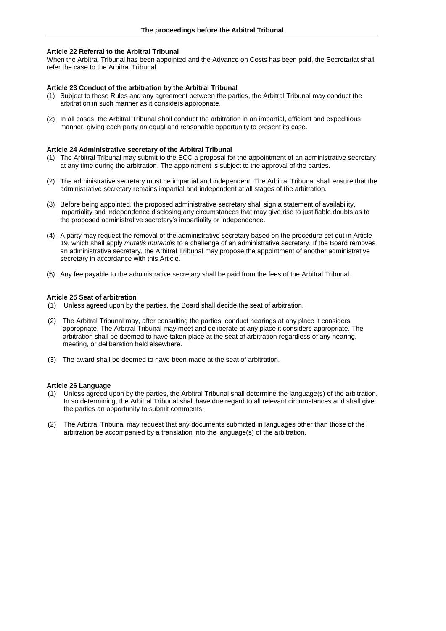#### **Article 22 Referral to the Arbitral Tribunal**

When the Arbitral Tribunal has been appointed and the Advance on Costs has been paid, the Secretariat shall refer the case to the Arbitral Tribunal.

#### **Article 23 Conduct of the arbitration by the Arbitral Tribunal**

- (1) Subject to these Rules and any agreement between the parties, the Arbitral Tribunal may conduct the arbitration in such manner as it considers appropriate.
- (2) In all cases, the Arbitral Tribunal shall conduct the arbitration in an impartial, efficient and expeditious manner, giving each party an equal and reasonable opportunity to present its case.

#### **Article 24 Administrative secretary of the Arbitral Tribunal**

- (1) The Arbitral Tribunal may submit to the SCC a proposal for the appointment of an administrative secretary at any time during the arbitration. The appointment is subject to the approval of the parties.
- (2) The administrative secretary must be impartial and independent. The Arbitral Tribunal shall ensure that the administrative secretary remains impartial and independent at all stages of the arbitration.
- (3) Before being appointed, the proposed administrative secretary shall sign a statement of availability, impartiality and independence disclosing any circumstances that may give rise to justifiable doubts as to the proposed administrative secretary's impartiality or independence.
- (4) A party may request the removal of the administrative secretary based on the procedure set out in Article 19, which shall apply *mutatis mutandis* to a challenge of an administrative secretary. If the Board removes an administrative secretary, the Arbitral Tribunal may propose the appointment of another administrative secretary in accordance with this Article.
- (5) Any fee payable to the administrative secretary shall be paid from the fees of the Arbitral Tribunal.

#### **Article 25 Seat of arbitration**

- (1) Unless agreed upon by the parties, the Board shall decide the seat of arbitration.
- (2) The Arbitral Tribunal may, after consulting the parties, conduct hearings at any place it considers appropriate. The Arbitral Tribunal may meet and deliberate at any place it considers appropriate. The arbitration shall be deemed to have taken place at the seat of arbitration regardless of any hearing, meeting, or deliberation held elsewhere.
- (3) The award shall be deemed to have been made at the seat of arbitration.

#### **Article 26 Language**

- (1) Unless agreed upon by the parties, the Arbitral Tribunal shall determine the language(s) of the arbitration. In so determining, the Arbitral Tribunal shall have due regard to all relevant circumstances and shall give the parties an opportunity to submit comments.
- (2) The Arbitral Tribunal may request that any documents submitted in languages other than those of the arbitration be accompanied by a translation into the language(s) of the arbitration.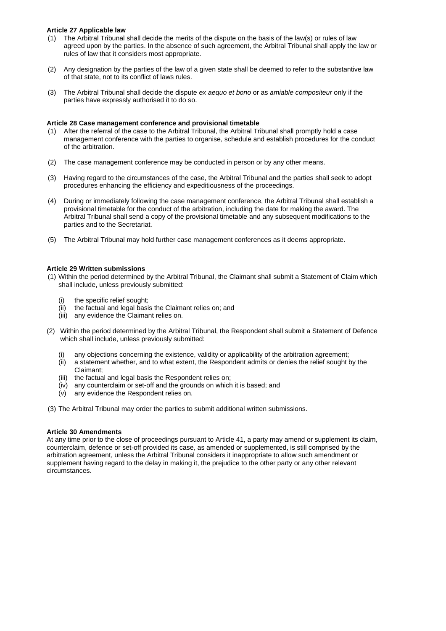#### **Article 27 Applicable law**

- (1) The Arbitral Tribunal shall decide the merits of the dispute on the basis of the law(s) or rules of law agreed upon by the parties. In the absence of such agreement, the Arbitral Tribunal shall apply the law or rules of law that it considers most appropriate.
- (2) Any designation by the parties of the law of a given state shall be deemed to refer to the substantive law of that state, not to its conflict of laws rules.
- (3) The Arbitral Tribunal shall decide the dispute *ex aequo et bono* or as *amiable compositeur* only if the parties have expressly authorised it to do so.

#### **Article 28 Case management conference and provisional timetable**

- (1) After the referral of the case to the Arbitral Tribunal, the Arbitral Tribunal shall promptly hold a case management conference with the parties to organise, schedule and establish procedures for the conduct of the arbitration.
- (2) The case management conference may be conducted in person or by any other means.
- (3) Having regard to the circumstances of the case, the Arbitral Tribunal and the parties shall seek to adopt procedures enhancing the efficiency and expeditiousness of the proceedings.
- (4) During or immediately following the case management conference, the Arbitral Tribunal shall establish a provisional timetable for the conduct of the arbitration, including the date for making the award. The Arbitral Tribunal shall send a copy of the provisional timetable and any subsequent modifications to the parties and to the Secretariat.
- (5) The Arbitral Tribunal may hold further case management conferences as it deems appropriate.

#### **Article 29 Written submissions**

- (1) Within the period determined by the Arbitral Tribunal, the Claimant shall submit a Statement of Claim which shall include, unless previously submitted:
	- (i) the specific relief sought;
	- (ii) the factual and legal basis the Claimant relies on; and
	- (iii) any evidence the Claimant relies on.
- (2) Within the period determined by the Arbitral Tribunal, the Respondent shall submit a Statement of Defence which shall include, unless previously submitted:
	- any objections concerning the existence, validity or applicability of the arbitration agreement;
	- (ii) a statement whether, and to what extent, the Respondent admits or denies the relief sought by the Claimant;
	- (iii) the factual and legal basis the Respondent relies on;
	- (iv) any counterclaim or set-off and the grounds on which it is based; and
	- (v) any evidence the Respondent relies on.
- (3) The Arbitral Tribunal may order the parties to submit additional written submissions.

#### **Article 30 Amendments**

At any time prior to the close of proceedings pursuant to Article 41, a party may amend or supplement its claim, counterclaim, defence or set-off provided its case, as amended or supplemented, is still comprised by the arbitration agreement, unless the Arbitral Tribunal considers it inappropriate to allow such amendment or supplement having regard to the delay in making it, the prejudice to the other party or any other relevant circumstances.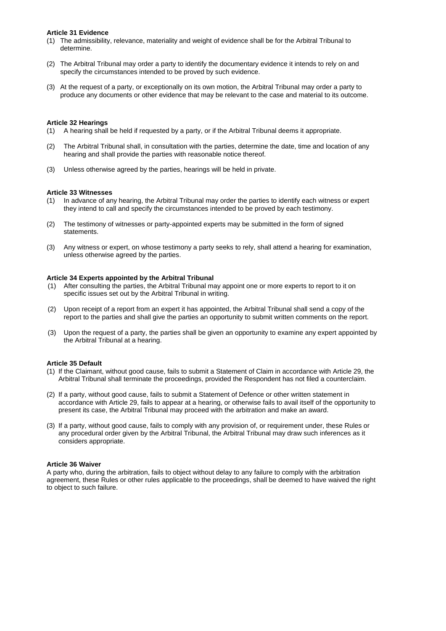#### **Article 31 Evidence**

- (1) The admissibility, relevance, materiality and weight of evidence shall be for the Arbitral Tribunal to determine.
- (2) The Arbitral Tribunal may order a party to identify the documentary evidence it intends to rely on and specify the circumstances intended to be proved by such evidence.
- (3) At the request of a party, or exceptionally on its own motion, the Arbitral Tribunal may order a party to produce any documents or other evidence that may be relevant to the case and material to its outcome.

#### **Article 32 Hearings**

- (1) A hearing shall be held if requested by a party, or if the Arbitral Tribunal deems it appropriate.
- (2) The Arbitral Tribunal shall, in consultation with the parties, determine the date, time and location of any hearing and shall provide the parties with reasonable notice thereof.
- (3) Unless otherwise agreed by the parties, hearings will be held in private.

#### **Article 33 Witnesses**

- (1) In advance of any hearing, the Arbitral Tribunal may order the parties to identify each witness or expert they intend to call and specify the circumstances intended to be proved by each testimony.
- (2) The testimony of witnesses or party-appointed experts may be submitted in the form of signed statements.
- (3) Any witness or expert, on whose testimony a party seeks to rely, shall attend a hearing for examination, unless otherwise agreed by the parties.

#### **Article 34 Experts appointed by the Arbitral Tribunal**

- (1) After consulting the parties, the Arbitral Tribunal may appoint one or more experts to report to it on specific issues set out by the Arbitral Tribunal in writing.
- (2) Upon receipt of a report from an expert it has appointed, the Arbitral Tribunal shall send a copy of the report to the parties and shall give the parties an opportunity to submit written comments on the report.
- (3) Upon the request of a party, the parties shall be given an opportunity to examine any expert appointed by the Arbitral Tribunal at a hearing.

#### **Article 35 Default**

- (1) If the Claimant, without good cause, fails to submit a Statement of Claim in accordance with Article 29, the Arbitral Tribunal shall terminate the proceedings, provided the Respondent has not filed a counterclaim.
- (2) If a party, without good cause, fails to submit a Statement of Defence or other written statement in accordance with Article 29, fails to appear at a hearing, or otherwise fails to avail itself of the opportunity to present its case, the Arbitral Tribunal may proceed with the arbitration and make an award.
- (3) If a party, without good cause, fails to comply with any provision of, or requirement under, these Rules or any procedural order given by the Arbitral Tribunal, the Arbitral Tribunal may draw such inferences as it considers appropriate.

#### **Article 36 Waiver**

A party who, during the arbitration, fails to object without delay to any failure to comply with the arbitration agreement, these Rules or other rules applicable to the proceedings, shall be deemed to have waived the right to object to such failure.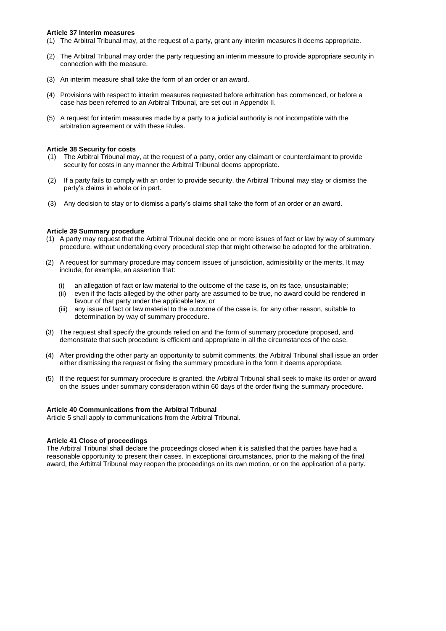#### **Article 37 Interim measures**

- (1) The Arbitral Tribunal may, at the request of a party, grant any interim measures it deems appropriate.
- (2) The Arbitral Tribunal may order the party requesting an interim measure to provide appropriate security in connection with the measure.
- (3) An interim measure shall take the form of an order or an award.
- (4) Provisions with respect to interim measures requested before arbitration has commenced, or before a case has been referred to an Arbitral Tribunal, are set out in Appendix II.
- (5) A request for interim measures made by a party to a judicial authority is not incompatible with the arbitration agreement or with these Rules.

#### **Article 38 Security for costs**

- (1) The Arbitral Tribunal may, at the request of a party, order any claimant or counterclaimant to provide security for costs in any manner the Arbitral Tribunal deems appropriate.
- (2) If a party fails to comply with an order to provide security, the Arbitral Tribunal may stay or dismiss the party's claims in whole or in part.
- (3) Any decision to stay or to dismiss a party's claims shall take the form of an order or an award.

#### **Article 39 Summary procedure**

- (1) A party may request that the Arbitral Tribunal decide one or more issues of fact or law by way of summary procedure, without undertaking every procedural step that might otherwise be adopted for the arbitration.
- (2) A request for summary procedure may concern issues of jurisdiction, admissibility or the merits. It may include, for example, an assertion that:
	- an allegation of fact or law material to the outcome of the case is, on its face, unsustainable;
	- (ii) even if the facts alleged by the other party are assumed to be true, no award could be rendered in favour of that party under the applicable law; or
	- (iii) any issue of fact or law material to the outcome of the case is, for any other reason, suitable to determination by way of summary procedure.
- (3) The request shall specify the grounds relied on and the form of summary procedure proposed, and demonstrate that such procedure is efficient and appropriate in all the circumstances of the case.
- (4) After providing the other party an opportunity to submit comments, the Arbitral Tribunal shall issue an order either dismissing the request or fixing the summary procedure in the form it deems appropriate.
- (5) If the request for summary procedure is granted, the Arbitral Tribunal shall seek to make its order or award on the issues under summary consideration within 60 days of the order fixing the summary procedure.

#### **Article 40 Communications from the Arbitral Tribunal**

Article 5 shall apply to communications from the Arbitral Tribunal.

#### **Article 41 Close of proceedings**

The Arbitral Tribunal shall declare the proceedings closed when it is satisfied that the parties have had a reasonable opportunity to present their cases. In exceptional circumstances, prior to the making of the final award, the Arbitral Tribunal may reopen the proceedings on its own motion, or on the application of a party.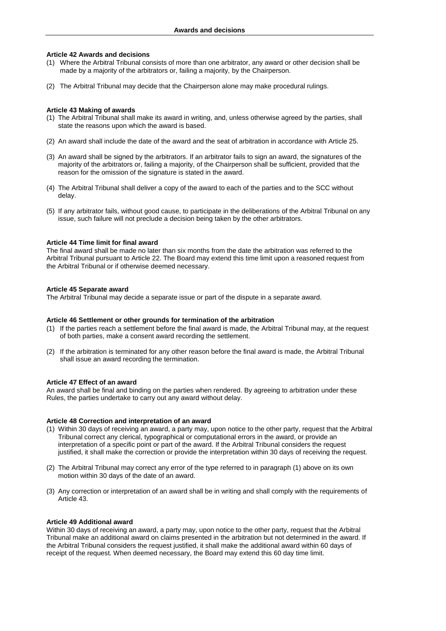#### **Article 42 Awards and decisions**

- (1) Where the Arbitral Tribunal consists of more than one arbitrator, any award or other decision shall be made by a majority of the arbitrators or, failing a majority, by the Chairperson.
- (2) The Arbitral Tribunal may decide that the Chairperson alone may make procedural rulings.

#### **Article 43 Making of awards**

- (1) The Arbitral Tribunal shall make its award in writing, and, unless otherwise agreed by the parties, shall state the reasons upon which the award is based.
- (2) An award shall include the date of the award and the seat of arbitration in accordance with Article 25.
- (3) An award shall be signed by the arbitrators. If an arbitrator fails to sign an award, the signatures of the majority of the arbitrators or, failing a majority, of the Chairperson shall be sufficient, provided that the reason for the omission of the signature is stated in the award.
- (4) The Arbitral Tribunal shall deliver a copy of the award to each of the parties and to the SCC without delay.
- (5) If any arbitrator fails, without good cause, to participate in the deliberations of the Arbitral Tribunal on any issue, such failure will not preclude a decision being taken by the other arbitrators.

#### **Article 44 Time limit for final award**

The final award shall be made no later than six months from the date the arbitration was referred to the Arbitral Tribunal pursuant to Article 22. The Board may extend this time limit upon a reasoned request from the Arbitral Tribunal or if otherwise deemed necessary.

#### **Article 45 Separate award**

The Arbitral Tribunal may decide a separate issue or part of the dispute in a separate award.

#### **Article 46 Settlement or other grounds for termination of the arbitration**

- (1) If the parties reach a settlement before the final award is made, the Arbitral Tribunal may, at the request of both parties, make a consent award recording the settlement.
- (2) If the arbitration is terminated for any other reason before the final award is made, the Arbitral Tribunal shall issue an award recording the termination.

#### **Article 47 Effect of an award**

An award shall be final and binding on the parties when rendered. By agreeing to arbitration under these Rules, the parties undertake to carry out any award without delay.

#### **Article 48 Correction and interpretation of an award**

- (1) Within 30 days of receiving an award, a party may, upon notice to the other party, request that the Arbitral Tribunal correct any clerical, typographical or computational errors in the award, or provide an interpretation of a specific point or part of the award. If the Arbitral Tribunal considers the request justified, it shall make the correction or provide the interpretation within 30 days of receiving the request.
- (2) The Arbitral Tribunal may correct any error of the type referred to in paragraph (1) above on its own motion within 30 days of the date of an award.
- (3) Any correction or interpretation of an award shall be in writing and shall comply with the requirements of Article 43.

#### **Article 49 Additional award**

Within 30 days of receiving an award, a party may, upon notice to the other party, request that the Arbitral Tribunal make an additional award on claims presented in the arbitration but not determined in the award. If the Arbitral Tribunal considers the request justified, it shall make the additional award within 60 days of receipt of the request. When deemed necessary, the Board may extend this 60 day time limit.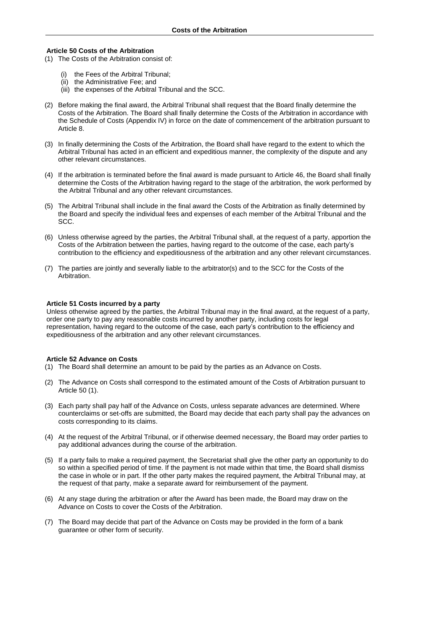#### **Article 50 Costs of the Arbitration**

- (1) The Costs of the Arbitration consist of:
	- (i) the Fees of the Arbitral Tribunal;
	- (ii) the Administrative Fee; and
	- (iii) the expenses of the Arbitral Tribunal and the SCC.
- (2) Before making the final award, the Arbitral Tribunal shall request that the Board finally determine the Costs of the Arbitration. The Board shall finally determine the Costs of the Arbitration in accordance with the Schedule of Costs (Appendix IV) in force on the date of commencement of the arbitration pursuant to Article 8.
- (3) In finally determining the Costs of the Arbitration, the Board shall have regard to the extent to which the Arbitral Tribunal has acted in an efficient and expeditious manner, the complexity of the dispute and any other relevant circumstances.
- (4) If the arbitration is terminated before the final award is made pursuant to Article 46, the Board shall finally determine the Costs of the Arbitration having regard to the stage of the arbitration, the work performed by the Arbitral Tribunal and any other relevant circumstances.
- (5) The Arbitral Tribunal shall include in the final award the Costs of the Arbitration as finally determined by the Board and specify the individual fees and expenses of each member of the Arbitral Tribunal and the SCC.
- (6) Unless otherwise agreed by the parties, the Arbitral Tribunal shall, at the request of a party, apportion the Costs of the Arbitration between the parties, having regard to the outcome of the case, each party's contribution to the efficiency and expeditiousness of the arbitration and any other relevant circumstances.
- (7) The parties are jointly and severally liable to the arbitrator(s) and to the SCC for the Costs of the Arbitration.

#### **Article 51 Costs incurred by a party**

Unless otherwise agreed by the parties, the Arbitral Tribunal may in the final award, at the request of a party, order one party to pay any reasonable costs incurred by another party, including costs for legal representation, having regard to the outcome of the case, each party's contribution to the efficiency and expeditiousness of the arbitration and any other relevant circumstances.

#### **Article 52 Advance on Costs**

- (1) The Board shall determine an amount to be paid by the parties as an Advance on Costs.
- (2) The Advance on Costs shall correspond to the estimated amount of the Costs of Arbitration pursuant to Article 50 (1).
- (3) Each party shall pay half of the Advance on Costs, unless separate advances are determined. Where counterclaims or set-offs are submitted, the Board may decide that each party shall pay the advances on costs corresponding to its claims.
- (4) At the request of the Arbitral Tribunal, or if otherwise deemed necessary, the Board may order parties to pay additional advances during the course of the arbitration.
- (5) If a party fails to make a required payment, the Secretariat shall give the other party an opportunity to do so within a specified period of time. If the payment is not made within that time, the Board shall dismiss the case in whole or in part. If the other party makes the required payment, the Arbitral Tribunal may, at the request of that party, make a separate award for reimbursement of the payment.
- (6) At any stage during the arbitration or after the Award has been made, the Board may draw on the Advance on Costs to cover the Costs of the Arbitration.
- (7) The Board may decide that part of the Advance on Costs may be provided in the form of a bank guarantee or other form of security.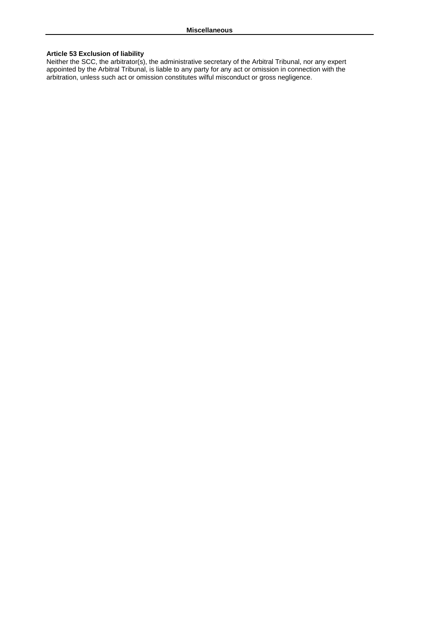#### **Article 53 Exclusion of liability**

Neither the SCC, the arbitrator(s), the administrative secretary of the Arbitral Tribunal, nor any expert appointed by the Arbitral Tribunal, is liable to any party for any act or omission in connection with the arbitration, unless such act or omission constitutes wilful misconduct or gross negligence.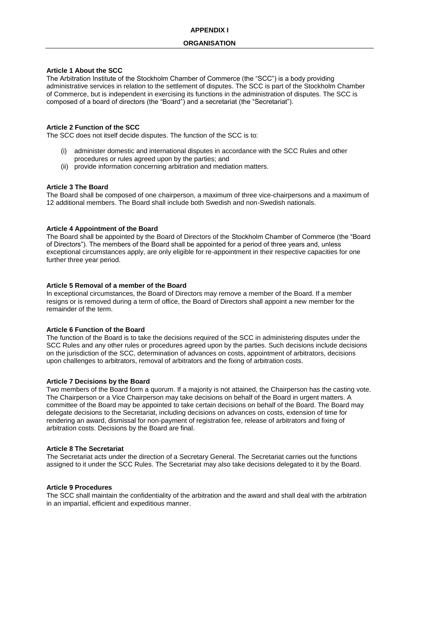#### **Article 1 About the SCC**

The Arbitration Institute of the Stockholm Chamber of Commerce (the "SCC") is a body providing administrative services in relation to the settlement of disputes. The SCC is part of the Stockholm Chamber of Commerce, but is independent in exercising its functions in the administration of disputes. The SCC is composed of a board of directors (the "Board") and a secretariat (the "Secretariat").

#### **Article 2 Function of the SCC**

The SCC does not itself decide disputes. The function of the SCC is to:

- (i) administer domestic and international disputes in accordance with the SCC Rules and other procedures or rules agreed upon by the parties; and
- (ii) provide information concerning arbitration and mediation matters.

#### **Article 3 The Board**

The Board shall be composed of one chairperson, a maximum of three vice-chairpersons and a maximum of 12 additional members. The Board shall include both Swedish and non-Swedish nationals.

#### **Article 4 Appointment of the Board**

The Board shall be appointed by the Board of Directors of the Stockholm Chamber of Commerce (the "Board of Directors"). The members of the Board shall be appointed for a period of three years and, unless exceptional circumstances apply, are only eligible for re-appointment in their respective capacities for one further three year period.

#### **Article 5 Removal of a member of the Board**

In exceptional circumstances, the Board of Directors may remove a member of the Board. If a member resigns or is removed during a term of office, the Board of Directors shall appoint a new member for the remainder of the term.

#### **Article 6 Function of the Board**

The function of the Board is to take the decisions required of the SCC in administering disputes under the SCC Rules and any other rules or procedures agreed upon by the parties. Such decisions include decisions on the jurisdiction of the SCC, determination of advances on costs, appointment of arbitrators, decisions upon challenges to arbitrators, removal of arbitrators and the fixing of arbitration costs.

#### **Article 7 Decisions by the Board**

Two members of the Board form a quorum. If a majority is not attained, the Chairperson has the casting vote. The Chairperson or a Vice Chairperson may take decisions on behalf of the Board in urgent matters. A committee of the Board may be appointed to take certain decisions on behalf of the Board. The Board may delegate decisions to the Secretariat, including decisions on advances on costs, extension of time for rendering an award, dismissal for non-payment of registration fee, release of arbitrators and fixing of arbitration costs. Decisions by the Board are final.

#### **Article 8 The Secretariat**

The Secretariat acts under the direction of a Secretary General. The Secretariat carries out the functions assigned to it under the SCC Rules. The Secretariat may also take decisions delegated to it by the Board.

#### **Article 9 Procedures**

The SCC shall maintain the confidentiality of the arbitration and the award and shall deal with the arbitration in an impartial, efficient and expeditious manner.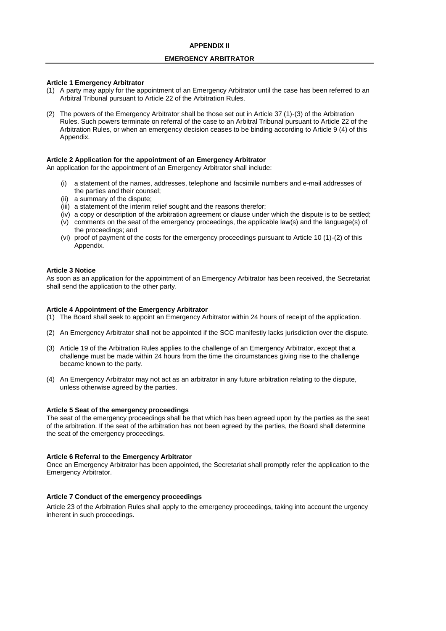#### **EMERGENCY ARBITRATOR**

#### **Article 1 Emergency Arbitrator**

- (1) A party may apply for the appointment of an Emergency Arbitrator until the case has been referred to an Arbitral Tribunal pursuant to Article 22 of the Arbitration Rules.
- (2) The powers of the Emergency Arbitrator shall be those set out in Article 37 (1)-(3) of the Arbitration Rules. Such powers terminate on referral of the case to an Arbitral Tribunal pursuant to Article 22 of the Arbitration Rules, or when an emergency decision ceases to be binding according to Article 9 (4) of this Appendix.

#### **Article 2 Application for the appointment of an Emergency Arbitrator**

An application for the appointment of an Emergency Arbitrator shall include:

- (i) a statement of the names, addresses, telephone and facsimile numbers and e-mail addresses of the parties and their counsel;
- (ii) a summary of the dispute;
- (iii) a statement of the interim relief sought and the reasons therefor;
- (iv) a copy or description of the arbitration agreement or clause under which the dispute is to be settled;
- (v) comments on the seat of the emergency proceedings, the applicable law(s) and the language(s) of the proceedings; and
- (vi) proof of payment of the costs for the emergency proceedings pursuant to Article 10 (1)-(2) of this Appendix.

#### **Article 3 Notice**

As soon as an application for the appointment of an Emergency Arbitrator has been received, the Secretariat shall send the application to the other party.

#### **Article 4 Appointment of the Emergency Arbitrator**

- (1) The Board shall seek to appoint an Emergency Arbitrator within 24 hours of receipt of the application.
- (2) An Emergency Arbitrator shall not be appointed if the SCC manifestly lacks jurisdiction over the dispute.
- (3) Article 19 of the Arbitration Rules applies to the challenge of an Emergency Arbitrator, except that a challenge must be made within 24 hours from the time the circumstances giving rise to the challenge became known to the party.
- (4) An Emergency Arbitrator may not act as an arbitrator in any future arbitration relating to the dispute, unless otherwise agreed by the parties.

#### **Article 5 Seat of the emergency proceedings**

The seat of the emergency proceedings shall be that which has been agreed upon by the parties as the seat of the arbitration. If the seat of the arbitration has not been agreed by the parties, the Board shall determine the seat of the emergency proceedings.

#### **Article 6 Referral to the Emergency Arbitrator**

Once an Emergency Arbitrator has been appointed, the Secretariat shall promptly refer the application to the Emergency Arbitrator.

#### **Article 7 Conduct of the emergency proceedings**

Article 23 of the Arbitration Rules shall apply to the emergency proceedings, taking into account the urgency inherent in such proceedings.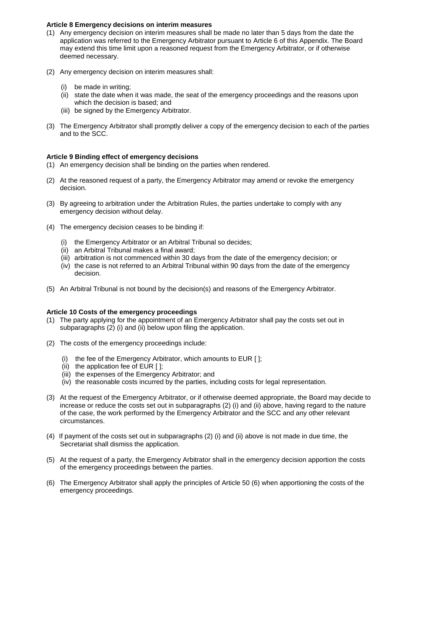#### **Article 8 Emergency decisions on interim measures**

- (1) Any emergency decision on interim measures shall be made no later than 5 days from the date the application was referred to the Emergency Arbitrator pursuant to Article 6 of this Appendix. The Board may extend this time limit upon a reasoned request from the Emergency Arbitrator, or if otherwise deemed necessary.
- (2) Any emergency decision on interim measures shall:
	- (i) be made in writing;
	- (ii) state the date when it was made, the seat of the emergency proceedings and the reasons upon which the decision is based; and
	- (iii) be signed by the Emergency Arbitrator.
- (3) The Emergency Arbitrator shall promptly deliver a copy of the emergency decision to each of the parties and to the SCC.

#### **Article 9 Binding effect of emergency decisions**

- (1) An emergency decision shall be binding on the parties when rendered.
- (2) At the reasoned request of a party, the Emergency Arbitrator may amend or revoke the emergency decision.
- (3) By agreeing to arbitration under the Arbitration Rules, the parties undertake to comply with any emergency decision without delay.
- (4) The emergency decision ceases to be binding if:
	- (i) the Emergency Arbitrator or an Arbitral Tribunal so decides;
	- (ii) an Arbitral Tribunal makes a final award;
	- (iii) arbitration is not commenced within 30 days from the date of the emergency decision; or
	- (iv) the case is not referred to an Arbitral Tribunal within 90 days from the date of the emergency decision.
- (5) An Arbitral Tribunal is not bound by the decision(s) and reasons of the Emergency Arbitrator.

#### **Article 10 Costs of the emergency proceedings**

- (1) The party applying for the appointment of an Emergency Arbitrator shall pay the costs set out in subparagraphs (2) (i) and (ii) below upon filing the application.
- (2) The costs of the emergency proceedings include:
	- (i) the fee of the Emergency Arbitrator, which amounts to EUR [ ];
	- (ii) the application fee of EUR [ ];
	- (iii) the expenses of the Emergency Arbitrator; and
	- (iv) the reasonable costs incurred by the parties, including costs for legal representation.
- (3) At the request of the Emergency Arbitrator, or if otherwise deemed appropriate, the Board may decide to increase or reduce the costs set out in subparagraphs (2) (i) and (ii) above, having regard to the nature of the case, the work performed by the Emergency Arbitrator and the SCC and any other relevant circumstances.
- (4) If payment of the costs set out in subparagraphs (2) (i) and (ii) above is not made in due time, the Secretariat shall dismiss the application.
- (5) At the request of a party, the Emergency Arbitrator shall in the emergency decision apportion the costs of the emergency proceedings between the parties.
- (6) The Emergency Arbitrator shall apply the principles of Article 50 (6) when apportioning the costs of the emergency proceedings.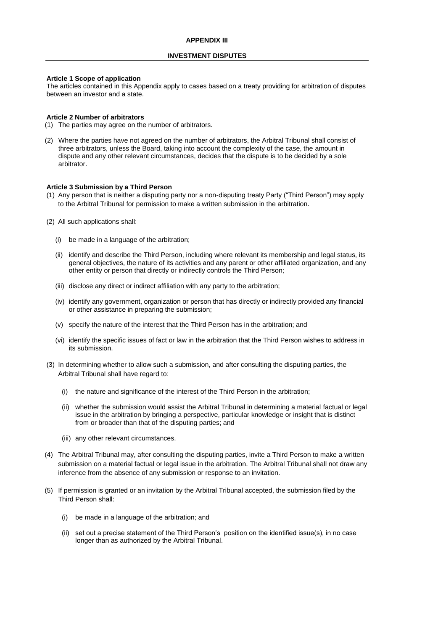#### **INVESTMENT DISPUTES**

#### **Article 1 Scope of application**

The articles contained in this Appendix apply to cases based on a treaty providing for arbitration of disputes between an investor and a state.

#### **Article 2 Number of arbitrators**

- (1) The parties may agree on the number of arbitrators.
- (2) Where the parties have not agreed on the number of arbitrators, the Arbitral Tribunal shall consist of three arbitrators, unless the Board, taking into account the complexity of the case, the amount in dispute and any other relevant circumstances, decides that the dispute is to be decided by a sole arbitrator.

#### **Article 3 Submission by a Third Person**

- (1) Any person that is neither a disputing party nor a non-disputing treaty Party ("Third Person") may apply to the Arbitral Tribunal for permission to make a written submission in the arbitration.
- (2) All such applications shall:
	- (i) be made in a language of the arbitration;
	- (ii) identify and describe the Third Person, including where relevant its membership and legal status, its general objectives, the nature of its activities and any parent or other affiliated organization, and any other entity or person that directly or indirectly controls the Third Person;
	- (iii) disclose any direct or indirect affiliation with any party to the arbitration;
	- (iv) identify any government, organization or person that has directly or indirectly provided any financial or other assistance in preparing the submission;
	- (v) specify the nature of the interest that the Third Person has in the arbitration; and
	- (vi) identify the specific issues of fact or law in the arbitration that the Third Person wishes to address in its submission.
- (3) In determining whether to allow such a submission, and after consulting the disputing parties, the Arbitral Tribunal shall have regard to:
	- (i) the nature and significance of the interest of the Third Person in the arbitration;
	- (ii) whether the submission would assist the Arbitral Tribunal in determining a material factual or legal issue in the arbitration by bringing a perspective, particular knowledge or insight that is distinct from or broader than that of the disputing parties; and
	- (iii) any other relevant circumstances.
- (4) The Arbitral Tribunal may, after consulting the disputing parties, invite a Third Person to make a written submission on a material factual or legal issue in the arbitration. The Arbitral Tribunal shall not draw any inference from the absence of any submission or response to an invitation.
- (5) If permission is granted or an invitation by the Arbitral Tribunal accepted, the submission filed by the Third Person shall:
	- (i) be made in a language of the arbitration; and
	- (ii) set out a precise statement of the Third Person's position on the identified issue(s), in no case longer than as authorized by the Arbitral Tribunal.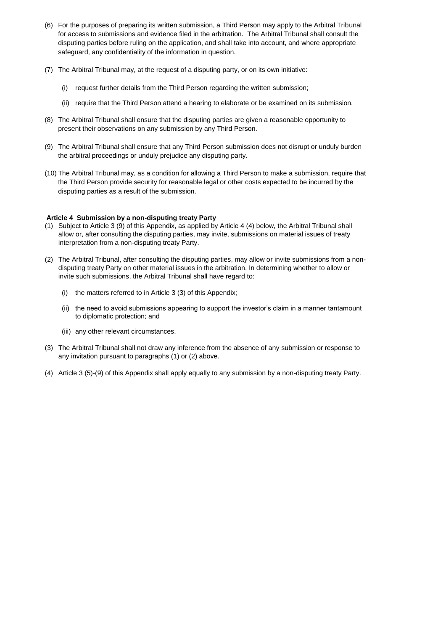- (6) For the purposes of preparing its written submission, a Third Person may apply to the Arbitral Tribunal for access to submissions and evidence filed in the arbitration. The Arbitral Tribunal shall consult the disputing parties before ruling on the application, and shall take into account, and where appropriate safeguard, any confidentiality of the information in question.
- (7) The Arbitral Tribunal may, at the request of a disputing party, or on its own initiative:
	- (i) request further details from the Third Person regarding the written submission;
	- (ii) require that the Third Person attend a hearing to elaborate or be examined on its submission.
- (8) The Arbitral Tribunal shall ensure that the disputing parties are given a reasonable opportunity to present their observations on any submission by any Third Person.
- (9) The Arbitral Tribunal shall ensure that any Third Person submission does not disrupt or unduly burden the arbitral proceedings or unduly prejudice any disputing party.
- (10) The Arbitral Tribunal may, as a condition for allowing a Third Person to make a submission, require that the Third Person provide security for reasonable legal or other costs expected to be incurred by the disputing parties as a result of the submission.

#### **Article 4 Submission by a non-disputing treaty Party**

- (1) Subject to Article 3 (9) of this Appendix, as applied by Article 4 (4) below, the Arbitral Tribunal shall allow or, after consulting the disputing parties, may invite, submissions on material issues of treaty interpretation from a non-disputing treaty Party.
- (2) The Arbitral Tribunal, after consulting the disputing parties, may allow or invite submissions from a nondisputing treaty Party on other material issues in the arbitration. In determining whether to allow or invite such submissions, the Arbitral Tribunal shall have regard to:
	- (i) the matters referred to in Article 3 (3) of this Appendix;
	- (ii) the need to avoid submissions appearing to support the investor's claim in a manner tantamount to diplomatic protection; and
	- (iii) any other relevant circumstances.
- (3) The Arbitral Tribunal shall not draw any inference from the absence of any submission or response to any invitation pursuant to paragraphs (1) or (2) above.
- (4) Article 3 (5)-(9) of this Appendix shall apply equally to any submission by a non-disputing treaty Party.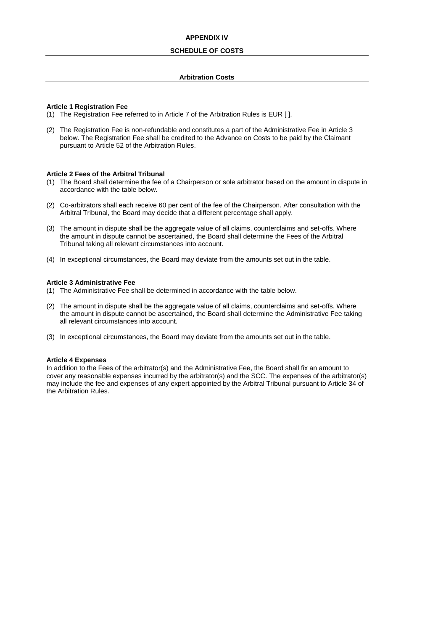#### **APPENDIX IV**

#### **SCHEDULE OF COSTS**

#### **Arbitration Costs**

#### **Article 1 Registration Fee**

- (1) The Registration Fee referred to in Article 7 of the Arbitration Rules is EUR [ ].
- (2) The Registration Fee is non-refundable and constitutes a part of the Administrative Fee in Article 3 below. The Registration Fee shall be credited to the Advance on Costs to be paid by the Claimant pursuant to Article 52 of the Arbitration Rules.

#### **Article 2 Fees of the Arbitral Tribunal**

- (1) The Board shall determine the fee of a Chairperson or sole arbitrator based on the amount in dispute in accordance with the table below.
- (2) Co-arbitrators shall each receive 60 per cent of the fee of the Chairperson. After consultation with the Arbitral Tribunal, the Board may decide that a different percentage shall apply.
- (3) The amount in dispute shall be the aggregate value of all claims, counterclaims and set-offs. Where the amount in dispute cannot be ascertained, the Board shall determine the Fees of the Arbitral Tribunal taking all relevant circumstances into account.
- (4) In exceptional circumstances, the Board may deviate from the amounts set out in the table.

#### **Article 3 Administrative Fee**

- (1) The Administrative Fee shall be determined in accordance with the table below.
- (2) The amount in dispute shall be the aggregate value of all claims, counterclaims and set-offs. Where the amount in dispute cannot be ascertained, the Board shall determine the Administrative Fee taking all relevant circumstances into account.
- (3) In exceptional circumstances, the Board may deviate from the amounts set out in the table.

#### **Article 4 Expenses**

In addition to the Fees of the arbitrator(s) and the Administrative Fee, the Board shall fix an amount to cover any reasonable expenses incurred by the arbitrator(s) and the SCC. The expenses of the arbitrator(s) may include the fee and expenses of any expert appointed by the Arbitral Tribunal pursuant to Article 34 of the Arbitration Rules.